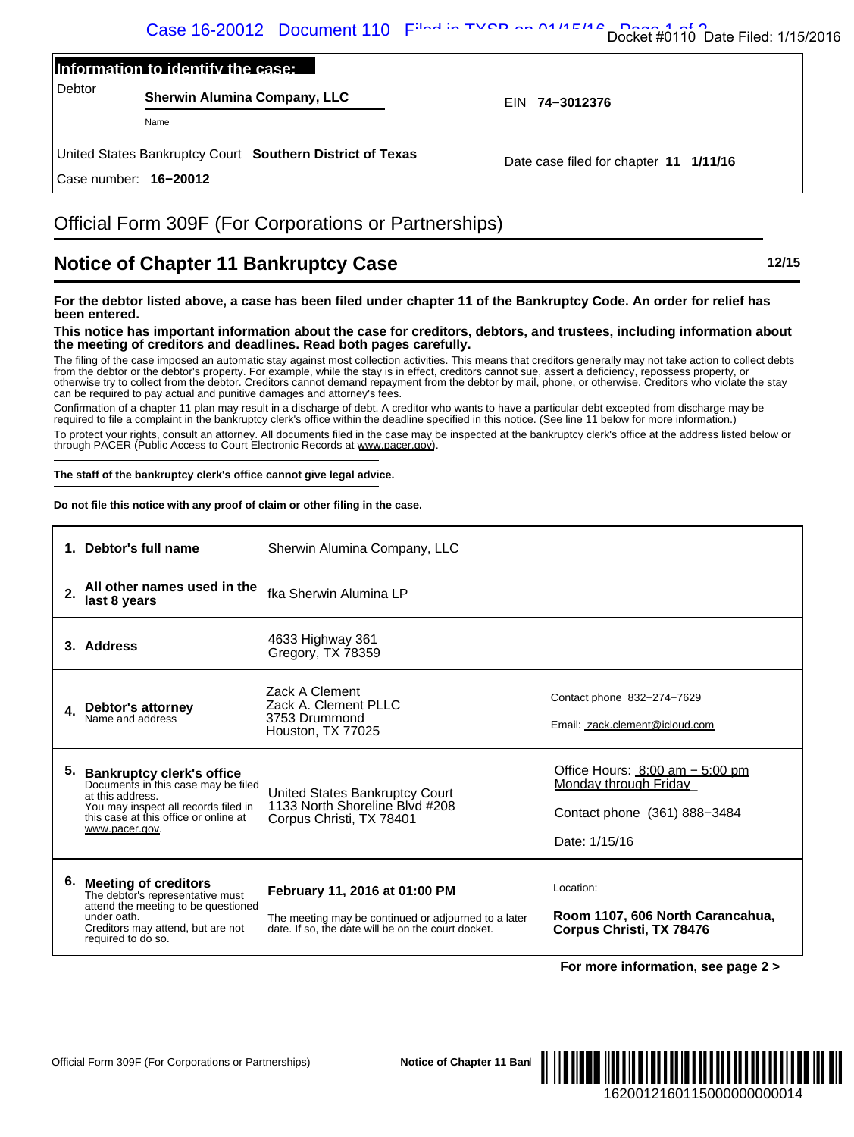|        | Information to identify the case:                         |                |  |
|--------|-----------------------------------------------------------|----------------|--|
| Debtor | <b>Sherwin Alumina Company, LLC</b>                       | EIN 74-3012376 |  |
|        | Name                                                      |                |  |
|        | United States Replyinter Court Couthorn Dictrict of Toyog |                |  |

## Official Form 309F (For Corporations or Partnerships)

# **Notice of Chapter 11 Bankruptcy Case 12/15**

#### **For the debtor listed above, a case has been filed under chapter 11 of the Bankruptcy Code. An order for relief has been entered.**

#### **This notice has important information about the case for creditors, debtors, and trustees, including information about the meeting of creditors and deadlines. Read both pages carefully.**

#### **The staff of the bankruptcy clerk's office cannot give legal advice.**

|                                   |                                                                                                                                                          |                                                                                                                                                                                                                                                                                                                                                                                      | Docket #0110 Date Filed: 1/15/2016                                                                                                                                                                                                                                                                                                                                                                                                                                                                                                                                                                                                                                                                                                                                                                                                                                                                                                                                                                                                                                                                                                                                                                                  |
|-----------------------------------|----------------------------------------------------------------------------------------------------------------------------------------------------------|--------------------------------------------------------------------------------------------------------------------------------------------------------------------------------------------------------------------------------------------------------------------------------------------------------------------------------------------------------------------------------------|---------------------------------------------------------------------------------------------------------------------------------------------------------------------------------------------------------------------------------------------------------------------------------------------------------------------------------------------------------------------------------------------------------------------------------------------------------------------------------------------------------------------------------------------------------------------------------------------------------------------------------------------------------------------------------------------------------------------------------------------------------------------------------------------------------------------------------------------------------------------------------------------------------------------------------------------------------------------------------------------------------------------------------------------------------------------------------------------------------------------------------------------------------------------------------------------------------------------|
|                                   | Information to identify the case:                                                                                                                        |                                                                                                                                                                                                                                                                                                                                                                                      |                                                                                                                                                                                                                                                                                                                                                                                                                                                                                                                                                                                                                                                                                                                                                                                                                                                                                                                                                                                                                                                                                                                                                                                                                     |
| Debtor                            | <b>Sherwin Alumina Company, LLC</b>                                                                                                                      |                                                                                                                                                                                                                                                                                                                                                                                      | EIN 74-3012376                                                                                                                                                                                                                                                                                                                                                                                                                                                                                                                                                                                                                                                                                                                                                                                                                                                                                                                                                                                                                                                                                                                                                                                                      |
|                                   | Name                                                                                                                                                     |                                                                                                                                                                                                                                                                                                                                                                                      |                                                                                                                                                                                                                                                                                                                                                                                                                                                                                                                                                                                                                                                                                                                                                                                                                                                                                                                                                                                                                                                                                                                                                                                                                     |
|                                   |                                                                                                                                                          | United States Bankruptcy Court Southern District of Texas                                                                                                                                                                                                                                                                                                                            | Date case filed for chapter 11 1/11/16                                                                                                                                                                                                                                                                                                                                                                                                                                                                                                                                                                                                                                                                                                                                                                                                                                                                                                                                                                                                                                                                                                                                                                              |
| Case number: 16-20012             |                                                                                                                                                          |                                                                                                                                                                                                                                                                                                                                                                                      |                                                                                                                                                                                                                                                                                                                                                                                                                                                                                                                                                                                                                                                                                                                                                                                                                                                                                                                                                                                                                                                                                                                                                                                                                     |
|                                   |                                                                                                                                                          | Official Form 309F (For Corporations or Partnerships)                                                                                                                                                                                                                                                                                                                                |                                                                                                                                                                                                                                                                                                                                                                                                                                                                                                                                                                                                                                                                                                                                                                                                                                                                                                                                                                                                                                                                                                                                                                                                                     |
|                                   |                                                                                                                                                          | <b>Notice of Chapter 11 Bankruptcy Case</b>                                                                                                                                                                                                                                                                                                                                          | 12/15                                                                                                                                                                                                                                                                                                                                                                                                                                                                                                                                                                                                                                                                                                                                                                                                                                                                                                                                                                                                                                                                                                                                                                                                               |
| been entered.                     |                                                                                                                                                          | the meeting of creditors and deadlines. Read both pages carefully.<br>can be required to pay actual and punitive damages and attorney's fees.<br>through PACER (Public Access to Court Electronic Records at www.pacer.gov).<br>The staff of the bankruptcy clerk's office cannot give legal advice.<br>Do not file this notice with any proof of claim or other filing in the case. | For the debtor listed above, a case has been filed under chapter 11 of the Bankruptcy Code. An order for relief has<br>This notice has important information about the case for creditors, debtors, and trustees, including information about<br>The filing of the case imposed an automatic stay against most collection activities. This means that creditors generally may not take action to collect debts<br>from the debtor or the debtor's property. For example, while the stay is in effect, creditors cannot sue, assert a deficiency, repossess property, or<br>otherwise try to collect from the debtor. Creditors cannot demand repayment from the debtor by mail, phone, or otherwise. Creditors who violate the stay<br>Confirmation of a chapter 11 plan may result in a discharge of debt. A creditor who wants to have a particular debt excepted from discharge may be<br>required to file a complaint in the bankruptcy clerk's office within the deadline specified in this notice. (See line 11 below for more information.)<br>To protect your rights, consult an attorney. All documents filed in the case may be inspected at the bankruptcy clerk's office at the address listed below or |
| 1. Debtor's full name             |                                                                                                                                                          | Sherwin Alumina Company, LLC                                                                                                                                                                                                                                                                                                                                                         |                                                                                                                                                                                                                                                                                                                                                                                                                                                                                                                                                                                                                                                                                                                                                                                                                                                                                                                                                                                                                                                                                                                                                                                                                     |
| 2.<br>last 8 years                | All other names used in the                                                                                                                              | fka Sherwin Alumina LP                                                                                                                                                                                                                                                                                                                                                               |                                                                                                                                                                                                                                                                                                                                                                                                                                                                                                                                                                                                                                                                                                                                                                                                                                                                                                                                                                                                                                                                                                                                                                                                                     |
| 3. Address                        |                                                                                                                                                          | 4633 Highway 361<br>Gregory, TX 78359                                                                                                                                                                                                                                                                                                                                                |                                                                                                                                                                                                                                                                                                                                                                                                                                                                                                                                                                                                                                                                                                                                                                                                                                                                                                                                                                                                                                                                                                                                                                                                                     |
|                                   |                                                                                                                                                          | Zack A Clement                                                                                                                                                                                                                                                                                                                                                                       | Contact phone 832-274-7629                                                                                                                                                                                                                                                                                                                                                                                                                                                                                                                                                                                                                                                                                                                                                                                                                                                                                                                                                                                                                                                                                                                                                                                          |
| 4.<br>Name and address            | Debtor's attorney                                                                                                                                        | Zack A. Clement PLLC<br>3753 Drummond<br>Houston, TX 77025                                                                                                                                                                                                                                                                                                                           | Email: zack.clement@icloud.com                                                                                                                                                                                                                                                                                                                                                                                                                                                                                                                                                                                                                                                                                                                                                                                                                                                                                                                                                                                                                                                                                                                                                                                      |
| 5.                                | <b>Bankruptcy clerk's office</b><br>Documents in this case may be filed<br>You may inspect all records filed in<br>this case at this office or online at | United States Bankruptcy Court<br>1133 North Shoreline Blvd #208<br>Corpus Christi, TX 78401                                                                                                                                                                                                                                                                                         | Office Hours: 8:00 am - 5:00 pm<br>Monday through Friday                                                                                                                                                                                                                                                                                                                                                                                                                                                                                                                                                                                                                                                                                                                                                                                                                                                                                                                                                                                                                                                                                                                                                            |
|                                   |                                                                                                                                                          |                                                                                                                                                                                                                                                                                                                                                                                      |                                                                                                                                                                                                                                                                                                                                                                                                                                                                                                                                                                                                                                                                                                                                                                                                                                                                                                                                                                                                                                                                                                                                                                                                                     |
| at this address.                  |                                                                                                                                                          |                                                                                                                                                                                                                                                                                                                                                                                      | Contact phone (361) 888-3484                                                                                                                                                                                                                                                                                                                                                                                                                                                                                                                                                                                                                                                                                                                                                                                                                                                                                                                                                                                                                                                                                                                                                                                        |
| www.pacer.gov.                    |                                                                                                                                                          |                                                                                                                                                                                                                                                                                                                                                                                      | Date: 1/15/16                                                                                                                                                                                                                                                                                                                                                                                                                                                                                                                                                                                                                                                                                                                                                                                                                                                                                                                                                                                                                                                                                                                                                                                                       |
| 6.<br><b>Meeting of creditors</b> |                                                                                                                                                          |                                                                                                                                                                                                                                                                                                                                                                                      | Location:                                                                                                                                                                                                                                                                                                                                                                                                                                                                                                                                                                                                                                                                                                                                                                                                                                                                                                                                                                                                                                                                                                                                                                                                           |
| under oath.                       | The debtor's representative must<br>attend the meeting to be questioned                                                                                  | February 11, 2016 at 01:00 PM<br>The meeting may be continued or adjourned to a later                                                                                                                                                                                                                                                                                                | Room 1107, 606 North Carancahua,                                                                                                                                                                                                                                                                                                                                                                                                                                                                                                                                                                                                                                                                                                                                                                                                                                                                                                                                                                                                                                                                                                                                                                                    |
| required to do so.                | Creditors may attend, but are not                                                                                                                        | date. If so, the date will be on the court docket.                                                                                                                                                                                                                                                                                                                                   | Corpus Christi, TX 78476                                                                                                                                                                                                                                                                                                                                                                                                                                                                                                                                                                                                                                                                                                                                                                                                                                                                                                                                                                                                                                                                                                                                                                                            |